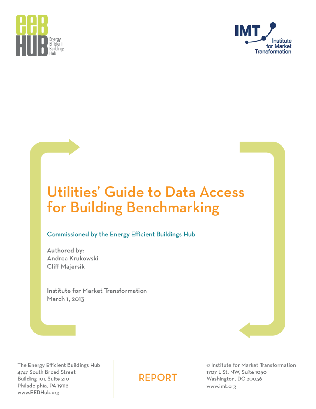



# Utilities' Guide to Data Access for Building Benchmarking

## **Commissioned by the Energy Efficient Buildings Hub**

Authored by: Andrea Krukowski **Cliff Majersik** 

Institute for Market Transformation March 1, 2013

The Energy Efficient Buildings Hub 4747 South Broad Street Building 101, Suite 210 Philadelphia, PA 19112 www.EEBHub.org

# **REPORT**

© Institute for Market Transformation 1707 L St. NW, Suite 1050 Washington, DC 20036 www.imt.org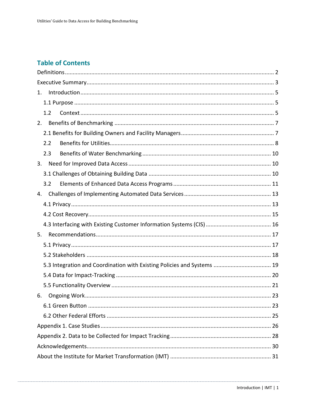# **Table of Contents**

| 1.                                                                      |  |
|-------------------------------------------------------------------------|--|
|                                                                         |  |
| 1.2                                                                     |  |
| 2.                                                                      |  |
|                                                                         |  |
| 2.2                                                                     |  |
| 2.3                                                                     |  |
| 3.                                                                      |  |
|                                                                         |  |
| 3.2                                                                     |  |
| 4.                                                                      |  |
|                                                                         |  |
|                                                                         |  |
|                                                                         |  |
| 5.                                                                      |  |
|                                                                         |  |
|                                                                         |  |
| 5.3 Integration and Coordination with Existing Policies and Systems  19 |  |
|                                                                         |  |
|                                                                         |  |
| 6.                                                                      |  |
|                                                                         |  |
|                                                                         |  |
|                                                                         |  |
|                                                                         |  |
|                                                                         |  |
|                                                                         |  |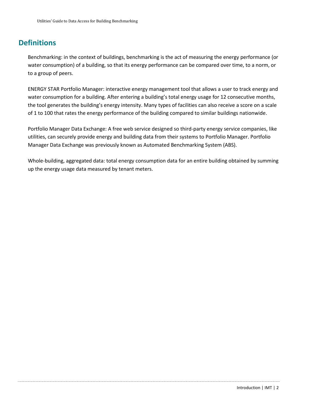# <span id="page-2-0"></span>**Definitions**

Benchmarking: in the context of buildings, benchmarking is the act of measuring the energy performance (or water consumption) of a building, so that its energy performance can be compared over time, to a norm, or to a group of peers.

ENERGY STAR Portfolio Manager: interactive energy management tool that allows a user to track energy and water consumption for a building. After entering a building's total energy usage for 12 consecutive months, the tool generates the building's energy intensity. Many types of facilities can also receive a score on a scale of 1 to 100 that rates the energy performance of the building compared to similar buildings nationwide.

Portfolio Manager Data Exchange: A free web service designed so third-party energy service companies, like utilities, can securely provide energy and building data from their systems to Portfolio Manager. Portfolio Manager Data Exchange was previously known as Automated Benchmarking System (ABS).

Whole-building, aggregated data: total energy consumption data for an entire building obtained by summing up the energy usage data measured by tenant meters.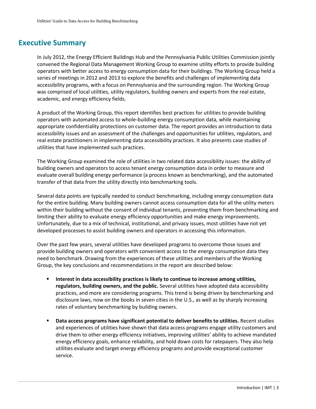# <span id="page-3-0"></span>**Executive Summary**

In July 2012, the Energy Efficient Buildings Hub and the Pennsylvania Public Utilities Commission jointly convened the Regional Data Management Working Group to examine utility efforts to provide building operators with better access to energy consumption data for their buildings. The Working Group held a series of meetings in 2012 and 2013 to explore the benefits and challenges of implementing data accessibility programs, with a focus on Pennsylvania and the surrounding region. The Working Group was comprised of local utilities, utility regulators, building owners and experts from the real estate, academic, and energy efficiency fields.

A product of the Working Group, this report identifies best practices for utilities to provide building operators with automated access to whole-building energy consumption data, while maintaining appropriate confidentiality protections on customer data. The report provides an introduction to data accessibility issues and an assessment of the challenges and opportunities for utilities, regulators, and real estate practitioners in implementing data accessibility practices. It also presents case studies of utilities that have implemented such practices.

The Working Group examined the role of utilities in two related data accessibility issues: the ability of building owners and operators to access tenant energy consumption data in order to measure and evaluate overall building energy performance (a process known as benchmarking), and the automated transfer of that data from the utility directly into benchmarking tools.

Several data points are typically needed to conduct benchmarking, including energy consumption data for the entire building. Many building owners cannot access consumption data for all the utility meters within their building without the consent of individual tenants, preventing them from benchmarking and limiting their ability to evaluate energy efficiency opportunities and make energy improvements. Unfortunately, due to a mix of technical, institutional, and privacy issues, most utilities have not yet developed processes to assist building owners and operators in accessing this information.

Over the past few years, several utilities have developed programs to overcome those issues and provide building owners and operators with convenient access to the energy consumption data they need to benchmark. Drawing from the experiences of these utilities and members of the Working Group, the key conclusions and recommendations in the report are described below:

- **Interest in data accessibility practices is likely to continue to increase among utilities, regulators, building owners, and the public.** Several utilities have adopted data accessibility practices, and more are considering programs. This trend is being driven by benchmarking and disclosure laws, now on the books in seven cities in the U.S., as well as by sharply increasing rates of voluntary benchmarking by building owners.
- **Data access programs have significant potential to deliver benefits to utilities.** Recent studies and experiences of utilities have shown that data access programs engage utility customers and drive them to other energy efficiency initiatives, improving utilities' ability to achieve mandated energy efficiency goals, enhance reliability, and hold down costs for ratepayers. They also help utilities evaluate and target energy efficiency programs and provide exceptional customer service.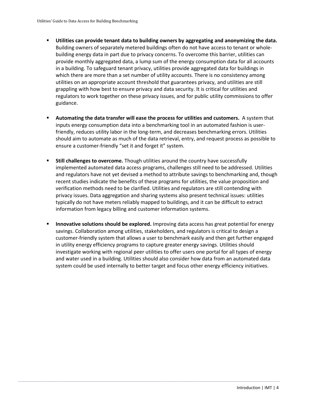- **Utilities can provide tenant data to building owners by aggregating and anonymizing the data.** Building owners of separately metered buildings often do not have access to tenant or wholebuilding energy data in part due to privacy concerns. To overcome this barrier, utilities can provide monthly aggregated data, a lump sum of the energy consumption data for all accounts in a building. To safeguard tenant privacy, utilities provide aggregated data for buildings in which there are more than a set number of utility accounts. There is no consistency among utilities on an appropriate account threshold that guarantees privacy, and utilities are still grappling with how best to ensure privacy and data security. It is critical for utilities and regulators to work together on these privacy issues, and for public utility commissions to offer guidance.
- **Automating the data transfer will ease the process for utilities and customers.** A system that inputs energy consumption data into a benchmarking tool in an automated fashion is userfriendly, reduces utility labor in the long-term, and decreases benchmarking errors. Utilities should aim to automate as much of the data retrieval, entry, and request process as possible to ensure a customer-friendly "set it and forget it" system.
- **Still challenges to overcome.** Though utilities around the country have successfully implemented automated data access programs, challenges still need to be addressed. Utilities and regulators have not yet devised a method to attribute savings to benchmarking and, though recent studies indicate the benefits of these programs for utilities, the value proposition and verification methods need to be clarified. Utilities and regulators are still contending with privacy issues. Data aggregation and sharing systems also present technical issues: utilities typically do not have meters reliably mapped to buildings, and it can be difficult to extract information from legacy billing and customer information systems.
- **Innovative solutions should be explored.** Improving data access has great potential for energy savings. Collaboration among utilities, stakeholders, and regulators is critical to design a customer-friendly system that allows a user to benchmark easily and then get further engaged in utility energy efficiency programs to capture greater energy savings. Utilities should investigate working with regional peer utilities to offer users one portal for all types of energy and water used in a building. Utilities should also consider how data from an automated data system could be used internally to better target and focus other energy efficiency initiatives.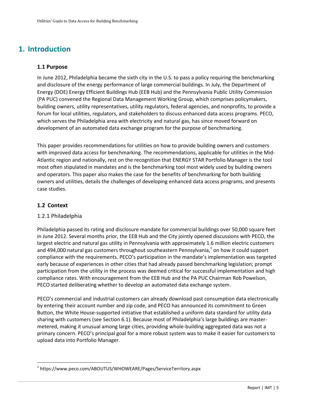# <span id="page-5-0"></span>**1. Introduction**

## <span id="page-5-1"></span>**1.1 Purpose**

In June 2012, Philadelphia became the sixth city in the U.S. to pass a policy requiring the benchmarking and disclosure of the energy performance of large commercial buildings. In July, the Department of Energy (DOE) Energy Efficient Buildings Hub (EEB Hub) and the Pennsylvania Public Utility Commission (PA PUC) convened the Regional Data Management Working Group, which comprises policymakers, building owners, utility representatives, utility regulators, federal agencies, and nonprofits, to provide a forum for local utilities, regulators, and stakeholders to discuss enhanced data access programs. PECO, which serves the Philadelphia area with electricity and natural gas, has since moved forward on development of an automated data exchange program for the purpose of benchmarking.

This paper provides recommendations for utilities on how to provide building owners and customers with improved data access for benchmarking. The recommendations, applicable for utilities in the Mid-Atlantic region and nationally, rest on the recognition that ENERGY STAR Portfolio Manager is the tool most often stipulated in mandates and is the benchmarking tool most widely used by building owners and operators. This paper also makes the case for the benefits of benchmarking for both building owners and utilities, details the challenges of developing enhanced data access programs, and presents case studies.

## <span id="page-5-2"></span>**1.2 Context**

 $\overline{a}$ 

## 1.2.1 Philadelphia

Philadelphia passed its rating and disclosure mandate for commercial buildings over 50,000 square feet in June 2012. Several months prior, the EEB Hub and the City jointly opened discussions with PECO, the largest electric and natural gas utility in Pennsylvania with approximately 1.6 million electric customers and 494,000 natural gas customers throughout southeastern Pennsylvania, $^1$  on how it could support compliance with the requirements. PECO's participation in the mandate's implementation was targeted early because of experiences in other cities that had already passed benchmarking legislation; prompt participation from the utility in the process was deemed critical for successful implementation and high compliance rates. With encouragement from the EEB Hub and the PA PUC Chairman Rob Powelson, PECO started deliberating whether to develop an automated data exchange system.

PECO's commercial and industrial customers can already download past consumption data electronically by entering their account number and zip code, and PECO has announced its commitment to Green Button, the White House-supported initiative that established a uniform data standard for utility data sharing with customers (see Section 6.1). Because most of Philadelphia's large buildings are mastermetered, making it unusual among large cities, providing whole-building aggregated data was not a primary concern. PECO's principal goal for a more robust system was to make it easier for customers to upload data into Portfolio Manager.

<sup>1</sup> https://www.peco.com/ABOUTUS/WHOWEARE/Pages/ServiceTerritory.aspx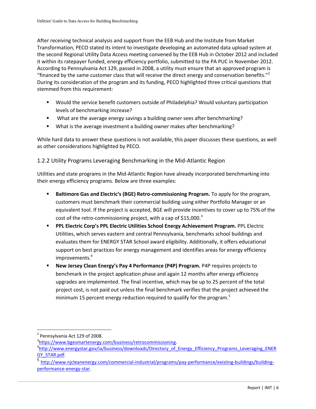After receiving technical analysis and support from the EEB Hub and the Institute from Market Transformation, PECO stated its intent to investigate developing an automated data upload system at the second Regional Utility Data Access meeting convened by the EEB Hub in October 2012 and included it within its ratepayer funded, energy efficiency portfolio, submitted to the PA PUC in November 2012. According to Pennsylvania Act 129, passed in 2008, a utility must ensure that an approved program is "financed by the same customer class that will receive the direct energy and conservation benefits."<sup>2</sup> During its consideration of the program and its funding, PECO highlighted three critical questions that stemmed from this requirement:

- Would the service benefit customers outside of Philadelphia? Would voluntary participation levels of benchmarking increase?
- What are the average energy savings a building owner sees after benchmarking?
- What is the average investment a building owner makes after benchmarking?

While hard data to answer these questions is not available, this paper discusses these questions, as well as other considerations highlighted by PECO.

1.2.2 Utility Programs Leveraging Benchmarking in the Mid-Atlantic Region

Utilities and state programs in the Mid-Atlantic Region have already incorporated benchmarking into their energy efficiency programs. Below are three examples:

- **Baltimore Gas and Electric's (BGE) Retro-commissioning Program.** To apply for the program, customers must benchmark their commercial building using either Portfolio Manager or an equivalent tool. If the project is accepted, BGE will provide incentives to cover up to 75% of the cost of the retro-commissioning project, with a cap of  $$15,000.<sup>3</sup>$
- **PPL Electric Corp's PPL Electric Utilities School Energy Achievement Program.** PPL Electric Utilities, which serves eastern and central Pennsylvania, benchmarks school buildings and evaluates them for ENERGY STAR School award eligibility. Additionally, it offers educational support on best practices for energy management and identifies areas for energy efficiency improvements.<sup>4</sup>
- **New Jersey Clean Energy's Pay 4 Performance (P4P) Program.** P4P requires projects to benchmark in the project application phase and again 12 months after energy efficiency upgrades are implemented. The final incentive, which may be up to 25 percent of the total project cost, is not paid out unless the final benchmark verifies that the project achieved the minimum 15 percent energy reduction required to qualify for the program.<sup>5</sup>

 $2$  Pennsylvania Act 129 of 2008.

<sup>&</sup>lt;sup>3</sup>https://www.bgesmartenergy.com/business/retrocommissioning.

<sup>&</sup>lt;sup>4</sup>http://www.energystar.gov/ia/business/downloads/Directory of Energy Efficiency Programs Leveraging ENER GY\_STAR.pdf.

<sup>5</sup> http://www.njcleanenergy.com/commercial-industrial/programs/pay-performance/existing-buildings/buildingperformance-energy-star.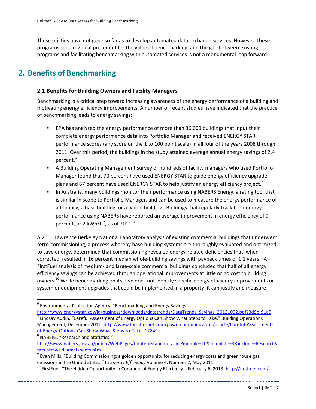These utilities have not gone so far as to develop automated data exchange services. However, these programs set a regional precedent for the value of benchmarking, and the gap between existing programs and facilitating benchmarking with automated services is not a monumental leap forward.

# <span id="page-7-0"></span>**2. Benefits of Benchmarking**

## <span id="page-7-1"></span>**2.1 Benefits for Building Owners and Facility Managers**

Benchmarking is a critical step toward increasing awareness of the energy performance of a building and motivating energy efficiency improvements. A number of recent studies have indicated that the practice of benchmarking leads to energy savings:

- EPA has analyzed the energy performance of more than 36,000 buildings that input their complete energy performance data into Portfolio Manager and received ENERGY STAR performance scores (any score on the 1 to 100 point scale) in all four of the years 2008 through 2011. Over this period, the buildings in the study attained average annual energy savings of 2.4 percent.<sup>6</sup>
- A Building Operating Management survey of hundreds of facility managers who used Portfolio Manager found that 70 percent have used ENERGY STAR to guide energy efficiency upgrade plans and 67 percent have used ENERGY STAR to help justify an energy efficiency project.<sup>7</sup>
- **In Australia, many buildings monitor their performance using NABERS Energy, a rating tool that** is similar in scope to Portfolio Manager, and can be used to measure the energy performance of a tenancy, a base building, or a whole building. Buildings that regularly track their energy performance using NABERS have reported an average improvement in energy efficiency of 9 percent, or 2 kWh/ft<sup>2</sup>, as of 2011.<sup>8</sup>

A 2011 Lawrence Berkeley National Laboratory analysis of existing commercial buildings that underwent retro-commissioning, a process whereby base building systems are thoroughly evaluated and optimized to save energy, determined that commissioning revealed energy-related deficiencies that, when corrected, resulted in 16 percent median whole-building savings with payback times of 1.1 years.<sup>9</sup> A FirstFuel analysis of medium- and large-scale commercial buildings concluded that half of all energy efficiency savings can be achieved through operational improvements at little or no cost to building owners.<sup>10</sup> While benchmarking on its own does not identify specific energy efficiency improvements or system or equipment upgrades that could be implemented in a property, it can justify and measure

 $^6$  Environmental Protection Agency. "Benchmarking and Energy Savings."

http://www.energystar.gov/ia/business/downloads/datatrends/DataTrends\_Savings\_20121002.pdf?3d9b-91a5.  $^7$  Lindsay Audin. "Careful Assessment of Energy Options Can Show What Steps to Take." Building Operations Management, December 2011[. http://www.facilitiesnet.com/powercommunication/article/Careful-Assessment](http://www.facilitiesnet.com/powercommunication/article/Careful-Assessment-of-Energy-Options-Can-Show-What-Steps-to-Take--12849)[of-Energy-Options-Can-Show-What-Steps-to-Take--12849.](http://www.facilitiesnet.com/powercommunication/article/Careful-Assessment-of-Energy-Options-Can-Show-What-Steps-to-Take--12849)

<sup>&</sup>lt;sup>8</sup> NABERS. "Research and Statistics."

[http://www.nabers.gov.au/public/WebPages/ContentStandard.aspx?module=10&template=3&include=ResearchS](http://www.nabers.gov.au/public/WebPages/ContentStandard.aspx?module=10&template=3&include=ResearchStats.htm&side=factsheets.htm) [tats.htm&side=factsheets.htm.](http://www.nabers.gov.au/public/WebPages/ContentStandard.aspx?module=10&template=3&include=ResearchStats.htm&side=factsheets.htm)

<sup>&</sup>lt;sup>9</sup> Evan Mills. "Building Commissioning: a golden opportunity for reducing energy costs and greenhouse gas emissions in the United States." In *Energy Efficiency* Volume 4, Number 2, May 2011.

<sup>&</sup>lt;sup>10</sup> FirstFuel. "The Hidden Opportunity in Commercial Energy Efficiency." February 6, 2013[. http://firstfuel.com/.](http://firstfuel.com/)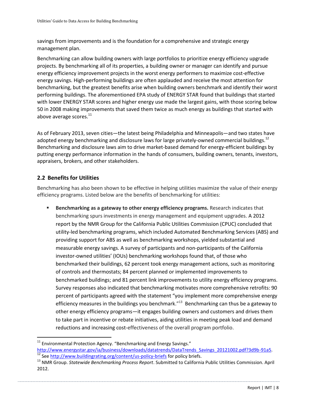savings from improvements and is the foundation for a comprehensive and strategic energy management plan.

Benchmarking can allow building owners with large portfolios to prioritize energy efficiency upgrade projects. By benchmarking all of its properties, a building owner or manager can identify and pursue energy efficiency improvement projects in the worst energy performers to maximize cost-effective energy savings. High-performing buildings are often applauded and receive the most attention for benchmarking, but the greatest benefits arise when building owners benchmark and identify their worst performing buildings. The aforementioned EPA study of ENERGY STAR found that buildings that started with lower ENERGY STAR scores and higher energy use made the largest gains, with those scoring below 50 in 2008 making improvements that saved them twice as much energy as buildings that started with above average scores. $^{11}$ 

As of February 2013, seven cities—the latest being Philadelphia and Minneapolis—and two states have adopted energy benchmarking and disclosure laws for large privately-owned commercial buildings.<sup>12</sup> Benchmarking and disclosure laws aim to drive market-based demand for energy-efficient buildings by putting energy performance information in the hands of consumers, building owners, tenants, investors, appraisers, brokers, and other stakeholders.

## <span id="page-8-0"></span>**2.2 Benefits for Utilities**

 $\overline{a}$ 

Benchmarking has also been shown to be effective in helping utilities maximize the value of their energy efficiency programs. Listed below are the benefits of benchmarking for utilities:

 **Benchmarking as a gateway to other energy efficiency programs.** Research indicates that benchmarking spurs investments in energy management and equipment upgrades. A 2012 report by the NMR Group for the California Public Utilities Commission (CPUC) concluded that utility-led benchmarking programs, which included Automated Benchmarking Services (ABS) and providing support for ABS as well as benchmarking workshops, yielded substantial and measurable energy savings. A survey of participants and non-participants of the California investor-owned utilities' (IOUs) benchmarking workshops found that, of those who benchmarked their buildings, 62 percent took energy management actions, such as monitoring of controls and thermostats; 84 percent planned or implemented improvements to benchmarked buildings; and 81 percent link improvements to utility energy efficiency programs. Survey responses also indicated that benchmarking motivates more comprehensive retrofits: 90 percent of participants agreed with the statement "you implement more comprehensive energy efficiency measures in the buildings you benchmark."<sup>13</sup> Benchmarking can thus be a gateway to other energy efficiency programs—it engages building owners and customers and drives them to take part in incentive or rebate initiatives, aiding utilities in meeting peak load and demand reductions and increasing cost-effectiveness of the overall program portfolio.

 $11$  Environmental Protection Agency. "Benchmarking and Energy Savings."

[http://www.energystar.gov/ia/business/downloads/datatrends/DataTrends\\_Savings\\_20121002.pdf?3d9b-91a5.](http://www.energystar.gov/ia/business/downloads/datatrends/DataTrends_Savings_20121002.pdf?3d9b-91a5) <sup>12</sup> Se[e http://www.buildingrating.org/content/us-policy-briefs](http://www.buildingrating.org/content/us-policy-briefs) for policy briefs.

<sup>13</sup> NMR Group. *Statewide Benchmarking Process Report*. Submitted to California Public Utilities Commission. April 2012.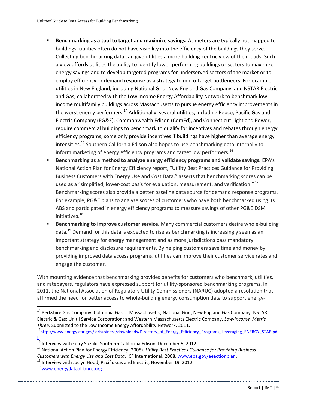- **Benchmarking as a tool to target and maximize savings.** As meters are typically not mapped to buildings, utilities often do not have visibility into the efficiency of the buildings they serve. Collecting benchmarking data can give utilities a more building-centric view of their loads. Such a view affords utilities the ability to identify lower-performing buildings or sectors to maximize energy savings and to develop targeted programs for underserved sectors of the market or to employ efficiency or demand response as a strategy to micro-target bottlenecks. For example, utilities in New England, including National Grid, New England Gas Company, and NSTAR Electric and Gas, collaborated with the Low Income Energy Affordability Network to benchmark lowincome multifamily buildings across Massachusetts to pursue energy efficiency improvements in the worst energy performers.<sup>14</sup> Additionally, several utilities, including Pepco, Pacific Gas and Electric Company (PG&E), Commonwealth Edison (ComEd), and Connecticut Light and Power, require commercial buildings to benchmark to qualify for incentives and rebates through energy efficiency programs; some only provide incentives if buildings have higher than average energy intensities.<sup>15</sup> Southern California Edison also hopes to use benchmarking data internally to inform marketing of energy efficiency programs and target low performers.<sup>16</sup>
- **Benchmarking as a method to analyze energy efficiency programs and validate savings.** EPA's National Action Plan for Energy Efficiency report, "Utility Best Practices Guidance for Providing Business Customers with Energy Use and Cost Data," asserts that benchmarking scores can be used as a "simplified, lower-cost basis for evaluation, measurement, and verification."<sup>17</sup> Benchmarking scores also provide a better baseline data source for demand response programs. For example, PG&E plans to analyze scores of customers who have both benchmarked using its ABS and participated in energy efficiency programs to measure savings of other PG&E DSM initiatives.<sup>18</sup>
- **Benchmarking to improve customer service.** Many commercial customers desire whole-building data.<sup>19</sup> Demand for this data is expected to rise as benchmarking is increasingly seen as an important strategy for energy management and as more jurisdictions pass mandatory benchmarking and disclosure requirements. By helping customers save time and money by providing improved data access programs, utilities can improve their customer service rates and engage the customer.

With mounting evidence that benchmarking provides benefits for customers who benchmark, utilities, and ratepayers, regulators have expressed support for utility-sponsored benchmarking programs. In 2011, the National Association of Regulatory Utility Commissioners (NARUC) adopted a resolution that affirmed the need for better access to whole-building energy consumption data to support energy-

<sup>14</sup> Berkshire Gas Company; Columbia Gas of Massachusetts; National Grid; New England Gas Company; NSTAR Electric & Gas; Unitil Service Corporation; and Western Massachusetts Electric Company. *Low-Income Metric Three*. Submitted to the Low Income Energy Affordability Network. 2011.

<sup>&</sup>lt;sup>15</sup>[http://www.energystar.gov/ia/business/downloads/Directory\\_of\\_Energy\\_Efficiency\\_Programs\\_Leveraging\\_ENERGY\\_STAR.pd](http://www.energystar.gov/ia/business/downloads/Directory_of_Energy_Efficiency_Programs_Leveraging_ENERGY_STAR.pdf) [f.](http://www.energystar.gov/ia/business/downloads/Directory_of_Energy_Efficiency_Programs_Leveraging_ENERGY_STAR.pdf)

 $^{16}$  Interview with Gary Suzuki, Southern California Edison, December 5, 2012.

<sup>17</sup> National Action Plan for Energy Efficiency (2008). *Utility Best Practices Guidance for Providing Business Customers with Energy Use and Cost Data*. ICF International. 2008. [www.epa.gov/eeactionplan.](http://www.epa.gov/eeactionplan)

 $18$  Interview with Jaclyn Hood, Pacific Gas and Electric, November 19, 2012.

<sup>19</sup> [www.energydataalliance.org](http://www.energydataalliance.org/)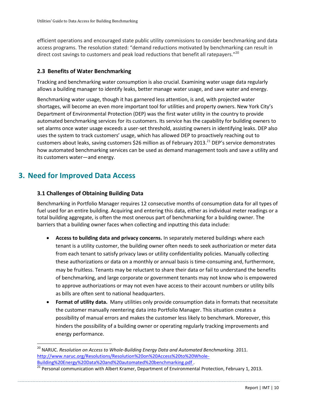efficient operations and encouraged state public utility commissions to consider benchmarking and data access programs. The resolution stated: "demand reductions motivated by benchmarking can result in direct cost savings to customers and peak load reductions that benefit all ratepayers."<sup>20</sup>

## <span id="page-10-0"></span>**2.3 Benefits of Water Benchmarking**

Tracking and benchmarking water consumption is also crucial. Examining water usage data regularly allows a building manager to identify leaks, better manage water usage, and save water and energy.

Benchmarking water usage, though it has garnered less attention, is and, with projected water shortages, will become an even more important tool for utilities and property owners. New York City's Department of Environmental Protection (DEP) was the first water utility in the country to provide automated benchmarking services for its customers. Its service has the capability for building owners to set alarms once water usage exceeds a user-set threshold, assisting owners in identifying leaks. DEP also uses the system to track customers' usage, which has allowed DEP to proactively reaching out to customers about leaks, saving customers \$26 million as of February 2013.<sup>21</sup> DEP's service demonstrates how automated benchmarking services can be used as demand management tools and save a utility and its customers water—and energy.

# <span id="page-10-1"></span>**3. Need for Improved Data Access**

 $\overline{a}$ 

## <span id="page-10-2"></span>**3.1 Challenges of Obtaining Building Data**

Benchmarking in Portfolio Manager requires 12 consecutive months of consumption data for all types of fuel used for an entire building. Acquiring and entering this data, either as individual meter readings or a total building aggregate, is often the most onerous part of benchmarking for a building owner. The barriers that a building owner faces when collecting and inputting this data include:

- **Access to building data and privacy concerns.** In separately metered buildings where each tenant is a utility customer, the building owner often needs to seek authorization or meter data from each tenant to satisfy privacy laws or utility confidentiality policies. Manually collecting these authorizations or data on a monthly or annual basis is time-consuming and, furthermore, may be fruitless. Tenants may be reluctant to share their data or fail to understand the benefits of benchmarking, and large corporate or government tenants may not know who is empowered to approve authorizations or may not even have access to their account numbers or utility bills as bills are often sent to national headquarters.
- **Format of utility data.** Many utilities only provide consumption data in formats that necessitate the customer manually reentering data into Portfolio Manager. This situation creates a possibility of manual errors and makes the customer less likely to benchmark. Moreover, this hinders the possibility of a building owner or operating regularly tracking improvements and energy performance.

<sup>&</sup>lt;sup>20</sup> NARUC. *Resolution on Access to Whole-Building Energy Data and Automated Benchmarking. 2011.* [http://www.naruc.org/Resolutions/Resolution%20on%20Access%20to%20Whole-](http://www.naruc.org/Resolutions/Resolution%20on%20Access%20to%20Whole-Building%20Energy%20Data%20and%20automated%20benchmarking.pdf)[Building%20Energy%20Data%20and%20automated%20benchmarking.pdf](http://www.naruc.org/Resolutions/Resolution%20on%20Access%20to%20Whole-Building%20Energy%20Data%20and%20automated%20benchmarking.pdf) .

<sup>&</sup>lt;sup>21</sup> Personal communication with Albert Kramer, Department of Environmental Protection, February 1, 2013.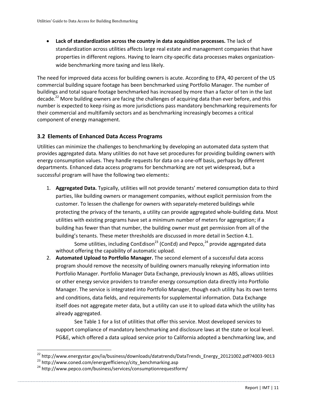**Lack of standardization across the country in data acquisition processes.** The lack of standardization across utilities affects large real estate and management companies that have properties in different regions. Having to learn city-specific data processes makes organizationwide benchmarking more taxing and less likely.

The need for improved data access for building owners is acute. According to EPA, 40 percent of the US commercial building square footage has been benchmarked using Portfolio Manager. The number of buildings and total square footage benchmarked has increased by more than a factor of ten in the last decade.<sup>22</sup> More building owners are facing the challenges of acquiring data than ever before, and this number is expected to keep rising as more jurisdictions pass mandatory benchmarking requirements for their commercial and multifamily sectors and as benchmarking increasingly becomes a critical component of energy management.

## <span id="page-11-0"></span>**3.2 Elements of Enhanced Data Access Programs**

Utilities can minimize the challenges to benchmarking by developing an automated data system that provides aggregated data. Many utilities do not have set procedures for providing building owners with energy consumption values. They handle requests for data on a one-off basis, perhaps by different departments. Enhanced data access programs for benchmarking are not yet widespread, but a successful program will have the following two elements:

1. **Aggregated Data.** Typically, utilities will not provide tenants' metered consumption data to third parties, like building owners or management companies, without explicit permission from the customer. To lessen the challenge for owners with separately-metered buildings while protecting the privacy of the tenants, a utility can provide aggregated whole-building data. Most utilities with existing programs have set a minimum number of meters for aggregation; if a building has fewer than that number, the building owner must get permission from all of the building's tenants. These meter thresholds are discussed in more detail in Section 4.1.

Some utilities, including ConEdison<sup>23</sup> (ConEd) and Pepco,  $24$  provide aggregated data without offering the capability of automatic upload.

2. **Automated Upload to Portfolio Manager.** The second element of a successful data access program should remove the necessity of building owners manually rekeying information into Portfolio Manager. Portfolio Manager Data Exchange, previously known as ABS, allows utilities or other energy service providers to transfer energy consumption data directly into Portfolio Manager. The service is integrated into Portfolio Manager, though each utility has its own terms and conditions, data fields, and requirements for supplemental information. Data Exchange itself does not aggregate meter data, but a utility can use it to upload data which the utility has already aggregated.

See Table 1 for a list of utilities that offer this service. Most developed services to support compliance of mandatory benchmarking and disclosure laws at the state or local level. PG&E, which offered a data upload service prior to California adopted a benchmarking law, and

<sup>&</sup>lt;sup>22</sup> http://www.energystar.gov/ia/business/downloads/datatrends/DataTrends\_Energy\_20121002.pdf?4003-9013 <sup>23</sup> http://www.coned.com/energyefficiency/city\_benchmarking.asp

<sup>&</sup>lt;sup>24</sup> http://www.pepco.com/business/services/consumptionrequestform/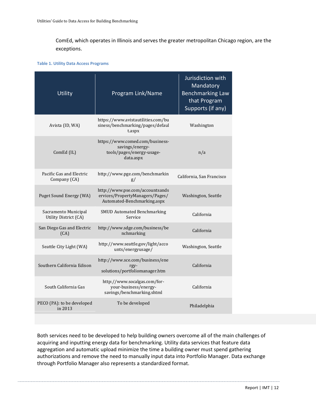ComEd, which operates in Illinois and serves the greater metropolitan Chicago region, are the exceptions.

#### **Table 1. Utility Data Access Programs**

| <b>Utility</b>                                | Program Link/Name                                                                                 | Jurisdiction with<br>Mandatory<br><b>Benchmarking Law</b><br>that Program<br>Supports (if any) |
|-----------------------------------------------|---------------------------------------------------------------------------------------------------|------------------------------------------------------------------------------------------------|
| Avista (ID, WA)                               | https://www.avistautilities.com/bu<br>siness/benchmarking/pages/defaul<br>t.aspx                  | Washington                                                                                     |
| ComEd (IL)                                    | https://www.comed.com/business-<br>savings/energy-<br>tools/pages/energy-usage-<br>data.aspx      | n/a                                                                                            |
| Pacific Gas and Electric<br>Company (CA)      | http://www.pge.com/benchmarkin<br>g/                                                              | California, San Francisco                                                                      |
| Puget Sound Energy (WA)                       | http://www.pse.com/accountsands<br>ervices/PropertyManagers/Pages/<br>Automated-Benchmarking.aspx | Washington, Seattle                                                                            |
| Sacramento Municipal<br>Utility District (CA) | <b>SMUD Automated Benchmarking</b><br>Service                                                     | California                                                                                     |
| San Diego Gas and Electric<br>(CA)            | http://www.sdge.com/business/be<br>nchmarking                                                     | California                                                                                     |
| Seattle City Light (WA)                       | http://www.seattle.gov/light/acco<br>unts/energyusage/                                            | Washington, Seattle                                                                            |
| Southern California Edison                    | http://www.sce.com/business/ene<br>rgy-<br>solutions/portfoliomanager.htm                         | California                                                                                     |
| South California Gas                          | http://www.socalgas.com/for-<br>your-business/energy-<br>savings/benchmarking.shtml               | California                                                                                     |
| PECO (PA): to be developed<br>in 2013         | To be developed                                                                                   | Philadelphia                                                                                   |

Both services need to be developed to help building owners overcome all of the main challenges of acquiring and inputting energy data for benchmarking. Utility data services that feature data aggregation and automatic upload minimize the time a building owner must spend gathering authorizations and remove the need to manually input data into Portfolio Manager. Data exchange through Portfolio Manager also represents a standardized format.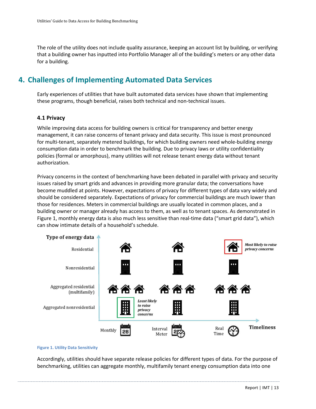The role of the utility does not include quality assurance, keeping an account list by building, or verifying that a building owner has inputted into Portfolio Manager all of the building's meters or any other data for a building.

# <span id="page-13-0"></span>**4. Challenges of Implementing Automated Data Services**

Early experiences of utilities that have built automated data services have shown that implementing these programs, though beneficial, raises both technical and non-technical issues.

#### <span id="page-13-1"></span>**4.1 Privacy**

While improving data access for building owners is critical for transparency and better energy management, it can raise concerns of tenant privacy and data security. This issue is most pronounced for multi-tenant, separately metered buildings, for which building owners need whole-building energy consumption data in order to benchmark the building. Due to privacy laws or utility confidentiality policies (formal or amorphous), many utilities will not release tenant energy data without tenant authorization.

Privacy concerns in the context of benchmarking have been debated in parallel with privacy and security issues raised by smart grids and advances in providing more granular data; the conversations have become muddled at points. However, expectations of privacy for different types of data vary widely and should be considered separately. Expectations of privacy for commercial buildings are much lower than those for residences. Meters in commercial buildings are usually located in common places, and a building owner or manager already has access to them, as well as to tenant spaces. As demonstrated in Figure 1, monthly energy data is also much less sensitive than real-time data ("smart grid data"), which can show intimate details of a household's schedule.



#### **Figure 1. Utility Data Sensitivity**

Accordingly, utilities should have separate release policies for different types of data. For the purpose of benchmarking, utilities can aggregate monthly, multifamily tenant energy consumption data into one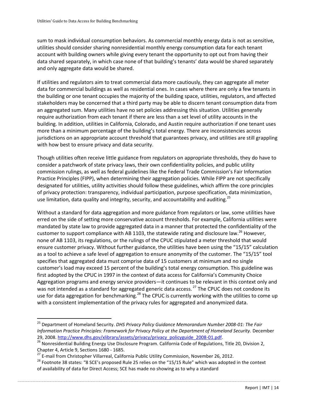sum to mask individual consumption behaviors. As commercial monthly energy data is not as sensitive, utilities should consider sharing nonresidential monthly energy consumption data for each tenant account with building owners while giving every tenant the opportunity to opt out from having their data shared separately, in which case none of that building's tenants' data would be shared separately and only aggregate data would be shared.

If utilities and regulators aim to treat commercial data more cautiously, they can aggregate all meter data for commercial buildings as well as residential ones. In cases where there are only a few tenants in the building or one tenant occupies the majority of the building space, utilities, regulators, and affected stakeholders may be concerned that a third party may be able to discern tenant consumption data from an aggregated sum. Many utilities have no set policies addressing this situation. Utilities generally require authorization from each tenant if there are less than a set level of utility accounts in the building. In addition, utilities in California, Colorado, and Austin require authorization if one tenant uses more than a minimum percentage of the building's total energy. There are inconsistencies across jurisdictions on an appropriate account threshold that guarantees privacy, and utilities are still grappling with how best to ensure privacy and data security.

Though utilities often receive little guidance from regulators on appropriate thresholds, they do have to consider a patchwork of state privacy laws, their own confidentiality policies, and public utility commission rulings, as well as federal guidelines like the Federal Trade Commission's Fair Information Practice Principles (FIPP), when determining their aggregation policies. While FIPP are not specifically designated for utilities, utility activities should follow these guidelines, which affirm the core principles of privacy protection: transparency, individual participation, purpose specification, data minimization, use limitation, data quality and integrity, security, and accountability and auditing.<sup>25</sup>

Without a standard for data aggregation and more guidance from regulators or law, some utilities have erred on the side of setting more conservative account thresholds. For example, California utilities were mandated by state law to provide aggregated data in a manner that protected the confidentiality of the customer to support compliance with AB 1103, the statewide rating and disclosure law.<sup>26</sup> However, none of AB 1103, its regulations, or the rulings of the CPUC stipulated a meter threshold that would ensure customer privacy. Without further guidance, the utilities have been using the "15/15" calculation as a tool to achieve a safe level of aggregation to ensure anonymity of the customer. The "15/15" tool specifies that aggregated data must comprise data of 15 customers at minimum and no single customer's load may exceed 15 percent of the building's total energy consumption. This guideline was first adopted by the CPUC in 1997 in the context of data access for California's Community Choice Aggregation programs and energy service providers—it continues to be relevant in this context only and was not intended as a standard for aggregated generic data access.<sup>27</sup> The CPUC does not condone its use for data aggregation for benchmarking.<sup>28</sup> The CPUC is currently working with the utilities to come up with a consistent implementation of the privacy rules for aggregated and anonymized data.

<sup>25</sup> Department of Homeland Security. *DHS Privacy Policy Guidance Memorandum Number 2008-01: The Fair Information Practice Principles: Framework for Privacy Policy at the Department of Homeland Security.* December 29, 2008. [http://www.dhs.gov/xlibrary/assets/privacy/privacy\\_policyguide\\_2008-01.pdf.](http://www.dhs.gov/xlibrary/assets/privacy/privacy_policyguide_2008-01.pdf)

<sup>&</sup>lt;sup>26</sup> Nonresidential Building Energy Use Disclosure Program. California Code of Regulations, Title 20, Division 2, Chapter 4, Article 9, Sections 1680 ‐ 1685.

<sup>&</sup>lt;sup>27</sup> E-mail from Christopher Villarreal, California Public Utility Commission, November 26, 2012.

<sup>&</sup>lt;sup>28</sup> Footnote 38 states: "8 SCE's proposed Rule 25 relies on the "15/15 Rule" which was adopted in the context of availability of data for Direct Access; SCE has made no showing as to why a standard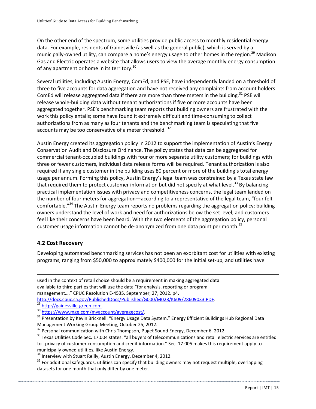On the other end of the spectrum, some utilities provide public access to monthly residential energy data. For example, residents of Gainesville (as well as the general public), which is served by a municipally-owned utility, can compare a home's energy usage to other homes in the region.<sup>29</sup> Madison Gas and Electric operates a website that allows users to view the average monthly energy consumption of any apartment or home in its territory.<sup>30</sup>

Several utilities, including Austin Energy, ComEd, and PSE, have independently landed on a threshold of three to five accounts for data aggregation and have not received any complaints from account holders. ComEd will release aggregated data if there are more than three meters in the building.<sup>31</sup> PSE will release whole-building data without tenant authorizations if five or more accounts have been aggregated together. PSE's benchmarking team reports that building owners are frustrated with the work this policy entails; some have found it extremely difficult and time-consuming to collect authorizations from as many as four tenants and the benchmarking team is speculating that five accounts may be too conservative of a meter threshold.<sup>32</sup>

Austin Energy created its aggregation policy in 2012 to support the implementation of Austin's Energy Conservation Audit and Disclosure Ordinance. The policy states that data can be aggregated for commercial tenant-occupied buildings with four or more separate utility customers; for buildings with three or fewer customers, individual data release forms will be required. Tenant authorization is also required if any single customer in the building uses 80 percent or more of the building's total energy usage per annum. Forming this policy, Austin Energy's legal team was constrained by a Texas state law that required them to protect customer information but did not specify at what level.<sup>33</sup> By balancing practical implementation issues with privacy and competitiveness concerns, the legal team landed on the number of four meters for aggregation—according to a representative of the legal team, "four felt comfortable."<sup>34</sup> The Austin Energy team reports no problems regarding the aggregation policy; building owners understand the level of work and need for authorizations below the set level, and customers feel like their concerns have been heard. With the two elements of the aggregation policy, personal customer usage information cannot be de-anonymized from one data point per month.<sup>35</sup>

## <span id="page-15-0"></span>**4.2 Cost Recovery**

 $\overline{a}$ 

Developing automated benchmarking services has not been an exorbitant cost for utilities with existing programs, ranging from \$50,000 to approximately \$400,000 for the initial set-up, and utilities have

used in the context of retail choice should be a requirement in making aggregated data available to third parties that will use the data "for analysis, reporting or program management…." CPUC Resolution E-4535. September, 27, 2012. p4.

[http://docs.cpuc.ca.gov/PublishedDocs/Published/G000/M028/K609/28609033.PDF.](http://docs.cpuc.ca.gov/PublishedDocs/Published/G000/M028/K609/28609033.PDF) http://gainesville-green.com.

30 [https://www.mge.com/myaccount/averagecost/.](https://www.mge.com/myaccount/averagecost/)

31 Presentation by Kevin Bricknell. "Energy Usage Data System." Energy Efficient Buildings Hub Regional Data Management Working Group Meeting, October 25, 2012.

 $32$  Personal communication with Chris Thompson, Puget Sound Energy, December 6, 2012.

<sup>33</sup> Texas Utilities Code Sec. 17.004 states: "all buyers of telecommunications and retail electric services are entitled to…privacy of customer consumption and credit information." Sec. 17.005 makes this requirement apply to municipally owned utilities, like Austin Energy.

 $34$  Interview with Stuart Reilly, Austin Energy, December 4, 2012.

 $35$  For additional safeguards, utilities can specify that building owners may not request multiple, overlapping datasets for one month that only differ by one meter.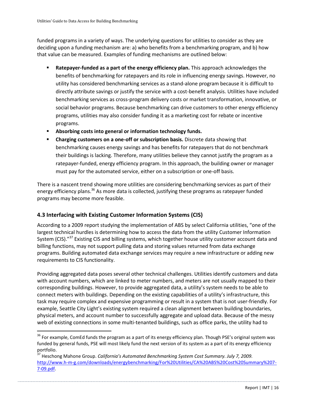funded programs in a variety of ways. The underlying questions for utilities to consider as they are deciding upon a funding mechanism are: a) who benefits from a benchmarking program, and b) how that value can be measured. Examples of funding mechanisms are outlined below:

- **Ratepayer-funded as a part of the energy efficiency plan.** This approach acknowledges the benefits of benchmarking for ratepayers and its role in influencing energy savings. However, no utility has considered benchmarking services as a stand-alone program because it is difficult to directly attribute savings or justify the service with a cost-benefit analysis. Utilities have included benchmarking services as cross-program delivery costs or market transformation, innovative, or social behavior programs. Because benchmarking can drive customers to other energy efficiency programs, utilities may also consider funding it as a marketing cost for rebate or incentive programs.
- **Absorbing costs into general or information technology funds.**
- **Charging customers on a one-off or subscription basis.** Discrete data showing that benchmarking causes energy savings and has benefits for ratepayers that do not benchmark their buildings is lacking. Therefore, many utilities believe they cannot justify the program as a ratepayer-funded, energy efficiency program. In this approach, the building owner or manager must pay for the automated service, either on a subscription or one-off basis.

There is a nascent trend showing more utilities are considering benchmarking services as part of their energy efficiency plans.<sup>36</sup> As more data is collected, justifying these programs as ratepayer funded programs may become more feasible.

## <span id="page-16-0"></span>**4.3 Interfacing with Existing Customer Information Systems (CIS)**

 $\overline{a}$ 

According to a 2009 report studying the implementation of ABS by select California utilities, "one of the largest technical hurdles is determining how to access the data from the utility Customer Information System (CIS)."<sup>37</sup> Existing CIS and billing systems, which together house utility customer account data and billing functions, may not support pulling data and storing values returned from data exchange programs. Building automated data exchange services may require a new infrastructure or adding new requirements to CIS functionality.

Providing aggregated data poses several other technical challenges. Utilities identify customers and data with account numbers, which are linked to meter numbers, and meters are not usually mapped to their corresponding buildings. However, to provide aggregated data, a utility's system needs to be able to connect meters with buildings. Depending on the existing capabilities of a utility's infrastructure, this task may require complex and expensive programming or result in a system that is not user-friendly. For example, Seattle City Light's existing system required a clean alignment between building boundaries, physical meters, and account number to successfully aggregate and upload data. Because of the messy web of existing connections in some multi-tenanted buildings, such as office parks, the utility had to

<sup>&</sup>lt;sup>36</sup> For example, ComEd funds the program as a part of its energy efficiency plan. Though PSE's original system was funded by general funds, PSE will most likely fund the next version of its system as a part of its energy efficiency portfolio.

<sup>37</sup> Heschong Mahone Group. *California's Automated Benchmarking System Cost Summary. July 7, 2009.*  [http://www.h-m-g.com/downloads/energybenchmarking/For%20Utilities/CA%20ABS%20Cost%20Summary%207-](http://www.h-m-g.com/downloads/energybenchmarking/For%20Utilities/CA%20ABS%20Cost%20Summary%207-7-09.pdf) [7-09.pdf.](http://www.h-m-g.com/downloads/energybenchmarking/For%20Utilities/CA%20ABS%20Cost%20Summary%207-7-09.pdf)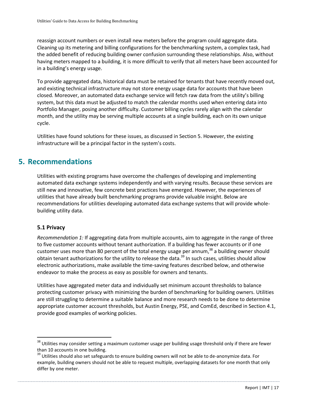reassign account numbers or even install new meters before the program could aggregate data. Cleaning up its metering and billing configurations for the benchmarking system, a complex task, had the added benefit of reducing building owner confusion surrounding these relationships. Also, without having meters mapped to a building, it is more difficult to verify that all meters have been accounted for in a building's energy usage.

To provide aggregated data, historical data must be retained for tenants that have recently moved out, and existing technical infrastructure may not store energy usage data for accounts that have been closed. Moreover, an automated data exchange service will fetch raw data from the utility's billing system, but this data must be adjusted to match the calendar months used when entering data into Portfolio Manager, posing another difficulty. Customer billing cycles rarely align with the calendar month, and the utility may be serving multiple accounts at a single building, each on its own unique cycle.

Utilities have found solutions for these issues, as discussed in Section 5. However, the existing infrastructure will be a principal factor in the system's costs.

# <span id="page-17-0"></span>**5. Recommendations**

Utilities with existing programs have overcome the challenges of developing and implementing automated data exchange systems independently and with varying results. Because these services are still new and innovative, few concrete best practices have emerged. However, the experiences of utilities that have already built benchmarking programs provide valuable insight. Below are recommendations for utilities developing automated data exchange systems that will provide wholebuilding utility data.

## <span id="page-17-1"></span>**5.1 Privacy**

 $\overline{a}$ 

*Recommendation 1:* If aggregating data from multiple accounts, aim to aggregate in the range of three to five customer accounts without tenant authorization. If a building has fewer accounts or if one customer uses more than 80 percent of the total energy usage per annum,<sup>38</sup> a building owner should obtain tenant authorizations for the utility to release the data.<sup>39</sup> In such cases, utilities should allow electronic authorizations, make available the time-saving features described below, and otherwise endeavor to make the process as easy as possible for owners and tenants.

Utilities have aggregated meter data and individually set minimum account thresholds to balance protecting customer privacy with minimizing the burden of benchmarking for building owners. Utilities are still struggling to determine a suitable balance and more research needs to be done to determine appropriate customer account thresholds, but Austin Energy, PSE, and ComEd, described in Section 4.1, provide good examples of working policies.

<sup>&</sup>lt;sup>38</sup> Utilities may consider setting a maximum customer usage per building usage threshold only if there are fewer than 10 accounts in one building.

<sup>&</sup>lt;sup>39</sup> Utilities should also set safeguards to ensure building owners will not be able to de-anonymize data. For example, building owners should not be able to request multiple, overlapping datasets for one month that only differ by one meter.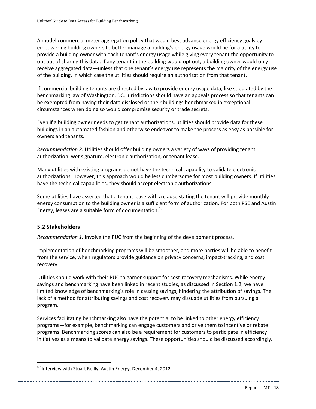A model commercial meter aggregation policy that would best advance energy efficiency goals by empowering building owners to better manage a building's energy usage would be for a utility to provide a building owner with each tenant's energy usage while giving every tenant the opportunity to opt out of sharing this data. If any tenant in the building would opt out, a building owner would only receive aggregated data—unless that one tenant's energy use represents the majority of the energy use of the building, in which case the utilities should require an authorization from that tenant.

If commercial building tenants are directed by law to provide energy usage data, like stipulated by the benchmarking law of Washington, DC, jurisdictions should have an appeals process so that tenants can be exempted from having their data disclosed or their buildings benchmarked in exceptional circumstances when doing so would compromise security or trade secrets.

Even if a building owner needs to get tenant authorizations, utilities should provide data for these buildings in an automated fashion and otherwise endeavor to make the process as easy as possible for owners and tenants.

*Recommendation 2:* Utilities should offer building owners a variety of ways of providing tenant authorization: wet signature, electronic authorization, or tenant lease.

Many utilities with existing programs do not have the technical capability to validate electronic authorizations. However, this approach would be less cumbersome for most building owners. If utilities have the technical capabilities, they should accept electronic authorizations.

Some utilities have asserted that a tenant lease with a clause stating the tenant will provide monthly energy consumption to the building owner is a sufficient form of authorization. For both PSE and Austin Energy, leases are a suitable form of documentation.<sup>40</sup>

## <span id="page-18-0"></span>**5.2 Stakeholders**

 $\overline{a}$ 

*Recommendation 1:* Involve the PUC from the beginning of the development process.

Implementation of benchmarking programs will be smoother, and more parties will be able to benefit from the service, when regulators provide guidance on privacy concerns, impact-tracking, and cost recovery.

Utilities should work with their PUC to garner support for cost-recovery mechanisms. While energy savings and benchmarking have been linked in recent studies, as discussed in Section 1.2, we have limited knowledge of benchmarking's role in causing savings, hindering the attribution of savings. The lack of a method for attributing savings and cost recovery may dissuade utilities from pursuing a program.

Services facilitating benchmarking also have the potential to be linked to other energy efficiency programs—for example, benchmarking can engage customers and drive them to incentive or rebate programs. Benchmarking scores can also be a requirement for customers to participate in efficiency initiatives as a means to validate energy savings. These opportunities should be discussed accordingly.

<sup>&</sup>lt;sup>40</sup> Interview with Stuart Reilly, Austin Energy, December 4, 2012.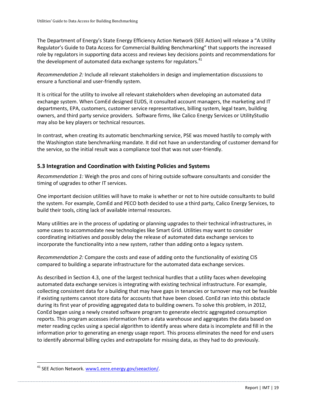The Department of Energy's State Energy Efficiency Action Network (SEE Action) will release a "A Utility Regulator's Guide to Data Access for Commercial Building Benchmarking" that supports the increased role by regulators in supporting data access and reviews key decisions points and recommendations for the development of automated data exchange systems for regulators. $41$ 

*Recommendation 2:* Include all relevant stakeholders in design and implementation discussions to ensure a functional and user-friendly system.

It is critical for the utility to involve all relevant stakeholders when developing an automated data exchange system. When ComEd designed EUDS, it consulted account managers, the marketing and IT departments, EPA, customers, customer service representatives, billing system, legal team, building owners, and third party service providers. Software firms, like Calico Energy Services or UtilityStudio may also be key players or technical resources.

In contrast, when creating its automatic benchmarking service, PSE was moved hastily to comply with the Washington state benchmarking mandate. It did not have an understanding of customer demand for the service, so the initial result was a compliance tool that was not user-friendly.

## <span id="page-19-0"></span>**5.3 Integration and Coordination with Existing Policies and Systems**

*Recommendation 1:* Weigh the pros and cons of hiring outside software consultants and consider the timing of upgrades to other IT services.

One important decision utilities will have to make is whether or not to hire outside consultants to build the system. For example, ComEd and PECO both decided to use a third party, Calico Energy Services, to build their tools, citing lack of available internal resources.

Many utilities are in the process of updating or planning upgrades to their technical infrastructures, in some cases to accommodate new technologies like Smart Grid. Utilities may want to consider coordinating initiatives and possibly delay the release of automated data exchange services to incorporate the functionality into a new system, rather than adding onto a legacy system.

*Recommendation 2:* Compare the costs and ease of adding onto the functionality of existing CIS compared to building a separate infrastructure for the automated data exchange services.

As described in Section 4.3, one of the largest technical hurdles that a utility faces when developing automated data exchange services is integrating with existing technical infrastructure. For example, collecting consistent data for a building that may have gaps in tenancies or turnover may not be feasible if existing systems cannot store data for accounts that have been closed. ConEd ran into this obstacle during its first year of providing aggregated data to building owners. To solve this problem, in 2012, ConEd began using a newly created software program to generate electric aggregated consumption reports. This program accesses information from a data warehouse and aggregates the data based on meter reading cycles using a special algorithm to identify areas where data is incomplete and fill in the information prior to generating an energy usage report. This process eliminates the need for end users to identify abnormal billing cycles and extrapolate for missing data, as they had to do previously.

<sup>&</sup>lt;sup>41</sup> SEE Action Network. www1.eere.energy.gov/seeaction/.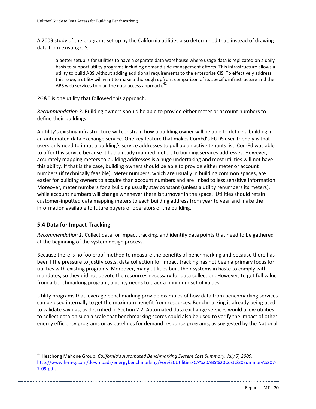A 2009 study of the programs set up by the California utilities also determined that, instead of drawing data from existing CIS,

a better setup is for utilities to have a separate data warehouse where usage data is replicated on a daily basis to support utility programs including demand side management efforts. This infrastructure allows a utility to build ABS without adding additional requirements to the enterprise CIS. To effectively address this issue, a utility will want to make a thorough upfront comparison of its specific infrastructure and the ABS web services to plan the data access approach.<sup>42</sup>

PG&E is one utility that followed this approach.

*Recommendation 3:* Building owners should be able to provide either meter or account numbers to define their buildings.

A utility's existing infrastructure will constrain how a building owner will be able to define a building in an automated data exchange service. One key feature that makes ComEd's EUDS user-friendly is that users only need to input a building's service addresses to pull up an active tenants list. ComEd was able to offer this service because it had already mapped meters to building services addresses. However, accurately mapping meters to building addresses is a huge undertaking and most utilities will not have this ability. If that is the case, building owners should be able to provide either meter or account numbers (if technically feasible). Meter numbers, which are usually in building common spaces, are easier for building owners to acquire than account numbers and are linked to less sensitive information. Moreover, meter numbers for a building usually stay constant (unless a utility renumbers its meters), while account numbers will change whenever there is turnover in the space. Utilities should retain customer-inputted data mapping meters to each building address from year to year and make the information available to future buyers or operators of the building.

## <span id="page-20-0"></span>**5.4 Data for Impact-Tracking**

 $\overline{a}$ 

*Recommendation 1:* Collect data for impact tracking, and identify data points that need to be gathered at the beginning of the system design process.

Because there is no foolproof method to measure the benefits of benchmarking and because there has been little pressure to justify costs, data collection for impact tracking has not been a primary focus for utilities with existing programs. Moreover, many utilities built their systems in haste to comply with mandates, so they did not devote the resources necessary for data collection. However, to get full value from a benchmarking program, a utility needs to track a minimum set of values.

Utility programs that leverage benchmarking provide examples of how data from benchmarking services can be used internally to get the maximum benefit from resources. Benchmarking is already being used to validate savings, as described in Section 2.2. Automated data exchange services would allow utilities to collect data on such a scale that benchmarking scores could also be used to verify the impact of other energy efficiency programs or as baselines for demand response programs, as suggested by the National

<sup>42</sup> Heschong Mahone Group. *California's Automated Benchmarking System Cost Summary. July 7, 2009.*  [http://www.h-m-g.com/downloads/energybenchmarking/For%20Utilities/CA%20ABS%20Cost%20Summary%207-](http://www.h-m-g.com/downloads/energybenchmarking/For%20Utilities/CA%20ABS%20Cost%20Summary%207-7-09.pdf) [7-09.pdf.](http://www.h-m-g.com/downloads/energybenchmarking/For%20Utilities/CA%20ABS%20Cost%20Summary%207-7-09.pdf)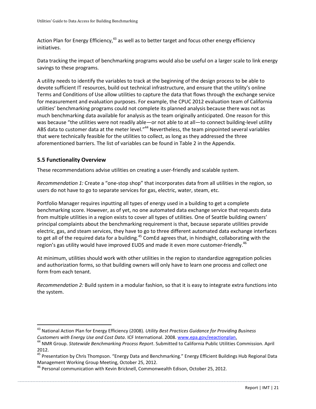Action Plan for Energy Efficiency,<sup>43</sup> as well as to better target and focus other energy efficiency initiatives.

Data tracking the impact of benchmarking programs would also be useful on a larger scale to link energy savings to these programs.

A utility needs to identify the variables to track at the beginning of the design process to be able to devote sufficient IT resources, build out technical infrastructure, and ensure that the utility's online Terms and Conditions of Use allow utilities to capture the data that flows through the exchange service for measurement and evaluation purposes. For example, the CPUC 2012 evaluation team of California utilities' benchmarking programs could not complete its planned analysis because there was not as much benchmarking data available for analysis as the team originally anticipated. One reason for this was because "the utilities were not readily able—or not able to at all—to connect building-level utility ABS data to customer data at the meter level."<sup>44</sup> Nevertheless, the team pinpointed several variables that were technically feasible for the utilities to collect, as long as they addressed the three aforementioned barriers. The list of variables can be found in Table 2 in the Appendix.

## <span id="page-21-0"></span>**5.5 Functionality Overview**

 $\overline{a}$ 

These recommendations advise utilities on creating a user-friendly and scalable system.

*Recommendation 1:* Create a "one-stop shop" that incorporates data from all utilities in the region, so users do not have to go to separate services for gas, electric, water, steam, etc.

Portfolio Manager requires inputting all types of energy used in a building to get a complete benchmarking score. However, as of yet, no one automated data exchange service that requests data from multiple utilities in a region exists to cover all types of utilities. One of Seattle building owners' principal complaints about the benchmarking requirement is that, because separate utilities provide electric, gas, and steam services, they have to go to three different automated data exchange interfaces to get all of the required data for a building.<sup>45</sup> ComEd agrees that, in hindsight, collaborating with the region's gas utility would have improved EUDS and made it even more customer-friendly.<sup>46</sup>

At minimum, utilities should work with other utilities in the region to standardize aggregation policies and authorization forms, so that building owners will only have to learn one process and collect one form from each tenant.

*Recommendation 2:* Build system in a modular fashion, so that it is easy to integrate extra functions into the system.

<sup>43</sup> National Action Plan for Energy Efficiency (2008). *Utility Best Practices Guidance for Providing Business Customers with Energy Use and Cost Data*. ICF International. 2008. [www.epa.gov/eeactionplan.](http://www.epa.gov/eeactionplan)

<sup>44</sup> NMR Group. *Statewide Benchmarking Process Report*. Submitted to California Public Utilities Commission. April 2012.

<sup>&</sup>lt;sup>45</sup> Presentation by Chris Thompson. "Energy Data and Benchmarking." Energy Efficient Buildings Hub Regional Data Management Working Group Meeting, October 25, 2012.

<sup>46</sup> Personal communication with Kevin Bricknell, Commonwealth Edison, October 25, 2012.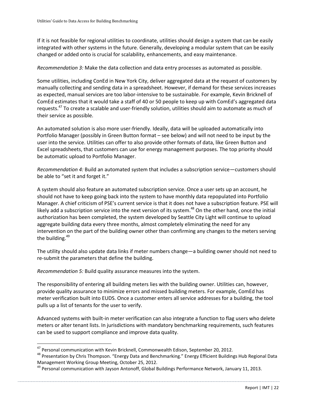If it is not feasible for regional utilities to coordinate, utilities should design a system that can be easily integrated with other systems in the future. Generally, developing a modular system that can be easily changed or added onto is crucial for scalability, enhancements, and easy maintenance.

*Recommendation 3:* Make the data collection and data entry processes as automated as possible.

Some utilities, including ConEd in New York City, deliver aggregated data at the request of customers by manually collecting and sending data in a spreadsheet. However, if demand for these services increases as expected, manual services are too labor-intensive to be sustainable. For example, Kevin Bricknell of ComEd estimates that it would take a staff of 40 or 50 people to keep up with ComEd's aggregated data requests.<sup>47</sup> To create a scalable and user-friendly solution, utilities should aim to automate as much of their service as possible.

An automated solution is also more user-friendly. Ideally, data will be uploaded automatically into Portfolio Manager (possibly in Green Button format – see below) and will not need to be input by the user into the service. Utilities can offer to also provide other formats of data, like Green Button and Excel spreadsheets, that customers can use for energy management purposes. The top priority should be automatic upload to Portfolio Manager.

*Recommendation 4:* Build an automated system that includes a subscription service—customers should be able to "set it and forget it."

A system should also feature an automated subscription service. Once a user sets up an account, he should not have to keep going back into the system to have monthly data repopulated into Portfolio Manager. A chief criticism of PSE's current service is that it does not have a subscription feature. PSE will likely add a subscription service into the next version of its system.<sup>48</sup> On the other hand, once the initial authorization has been completed, the system developed by Seattle City Light will continue to upload aggregate building data every three months, almost completely eliminating the need for any intervention on the part of the building owner other than confirming any changes to the meters serving the building. $49$ 

The utility should also update data links if meter numbers change—a building owner should not need to re-submit the parameters that define the building.

*Recommendation 5:* Build quality assurance measures into the system.

 $\overline{a}$ 

The responsibility of entering all building meters lies with the building owner. Utilities can, however, provide quality assurance to minimize errors and missed building meters. For example, ComEd has meter verification built into EUDS. Once a customer enters all service addresses for a building, the tool pulls up a list of tenants for the user to verify.

Advanced systems with built-in meter verification can also integrate a function to flag users who delete meters or alter tenant lists. In jurisdictions with mandatory benchmarking requirements, such features can be used to support compliance and improve data quality.

 $^{47}$  Personal communication with Kevin Bricknell, Commonwealth Edison, September 20, 2012.

<sup>&</sup>lt;sup>48</sup> Presentation by Chris Thompson. "Energy Data and Benchmarking." Energy Efficient Buildings Hub Regional Data Management Working Group Meeting, October 25, 2012.

<sup>&</sup>lt;sup>49</sup> Personal communication with Jayson Antonoff, Global Buildings Performance Network, January 11, 2013.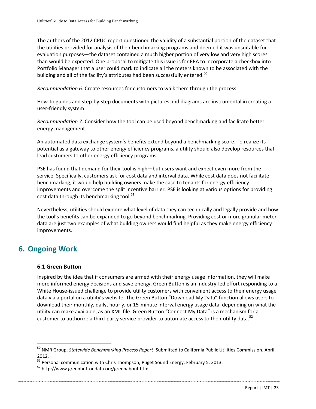The authors of the 2012 CPUC report questioned the validity of a substantial portion of the dataset that the utilities provided for analysis of their benchmarking programs and deemed it was unsuitable for evaluation purposes—the dataset contained a much higher portion of very low and very high scores than would be expected. One proposal to mitigate this issue is for EPA to incorporate a checkbox into Portfolio Manager that a user could mark to indicate all the meters known to be associated with the building and all of the facility's attributes had been successfully entered.<sup>50</sup>

*Recommendation 6:* Create resources for customers to walk them through the process.

How-to guides and step-by-step documents with pictures and diagrams are instrumental in creating a user-friendly system.

*Recommendation 7:* Consider how the tool can be used beyond benchmarking and facilitate better energy management.

An automated data exchange system's benefits extend beyond a benchmarking score. To realize its potential as a gateway to other energy efficiency programs, a utility should also develop resources that lead customers to other energy efficiency programs.

PSE has found that demand for their tool is high—but users want and expect even more from the service. Specifically, customers ask for cost data and interval data. While cost data does not facilitate benchmarking, it would help building owners make the case to tenants for energy efficiency improvements and overcome the split incentive barrier. PSE is looking at various options for providing cost data through its benchmarking tool.<sup>51</sup>

Nevertheless, utilities should explore what level of data they can technically and legally provide and how the tool's benefits can be expanded to go beyond benchmarking. Providing cost or more granular meter data are just two examples of what building owners would find helpful as they make energy efficiency improvements.

# <span id="page-23-0"></span>**6. Ongoing Work**

 $\overline{a}$ 

#### <span id="page-23-1"></span>**6.1 Green Button**

Inspired by the idea that if consumers are armed with their energy usage information, they will make more informed energy decisions and save energy, Green Button is an industry-led effort responding to a White House-issued challenge to provide utility customers with convenient access to their energy usage data via a portal on a utility's website. The Green Button "Download My Data" function allows users to download their monthly, daily, hourly, or 15-minute interval energy usage data, depending on what the utility can make available, as an XML file. Green Button "Connect My Data" is a mechanism for a customer to authorize a third-party service provider to automate access to their utility data.<sup>52</sup>

<sup>50</sup> NMR Group. *Statewide Benchmarking Process Report*. Submitted to California Public Utilities Commission. April 2012.

<sup>&</sup>lt;sup>51</sup> Personal communication with Chris Thompson, Puget Sound Energy, February 5, 2013.

<sup>52</sup> http://www.greenbuttondata.org/greenabout.html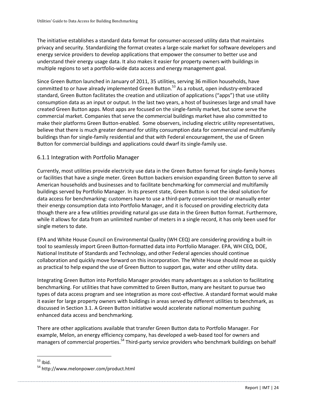The initiative establishes a standard data format for consumer-accessed utility data that maintains privacy and security. Standardizing the format creates a large-scale market for software developers and energy service providers to develop applications that empower the consumer to better use and understand their energy usage data. It also makes it easier for property owners with buildings in multiple regions to set a portfolio-wide data access and energy management goal.

Since Green Button launched in January of 2011, 35 utilities, serving 36 million households, have committed to or have already implemented Green Button.<sup>53</sup> As a robust, open industry-embraced standard, Green Button facilitates the creation and utilization of applications ("apps") that use utility consumption data as an input or output. In the last two years, a host of businesses large and small have created Green Button apps. Most apps are focused on the single-family market, but some serve the commercial market. Companies that serve the commercial buildings market have also committed to make their platforms Green Button-enabled. Some observers, including electric utility representatives, believe that there is much greater demand for utility consumption data for commercial and multifamily buildings than for single-family residential and that with Federal encouragement, the use of Green Button for commercial buildings and applications could dwarf its single-family use.

## 6.1.1 Integration with Portfolio Manager

Currently, most utilities provide electricity use data in the Green Button format for single-family homes or facilities that have a single meter. Green Button backers envision expanding Green Button to serve all American households and businesses and to facilitate benchmarking for commercial and multifamily buildings served by Portfolio Manager. In its present state, Green Button is not the ideal solution for data access for benchmarking: customers have to use a third-party conversion tool or manually enter their energy consumption data into Portfolio Manager, and it is focused on providing electricity data though there are a few utilities providing natural gas use data in the Green Button format. Furthermore, while it allows for data from an unlimited number of meters in a single record, it has only been used for single meters to date.

EPA and White House Council on Environmental Quality (WH CEQ) are considering providing a built-in tool to seamlessly import Green Button-formatted data into Portfolio Manager. EPA, WH CEQ, DOE, National Institute of Standards and Technology, and other Federal agencies should continue collaboration and quickly move forward on this incorporation. The White House should move as quickly as practical to help expand the use of Green Button to support gas, water and other utility data.

Integrating Green Button into Portfolio Manager provides many advantages as a solution to facilitating benchmarking. For utilities that have committed to Green Button, many are hesitant to pursue two types of data access program and see integration as more cost-effective. A standard format would make it easier for large property owners with buildings in areas served by different utilities to benchmark, as discussed in Section 3.1. A Green Button initiative would accelerate national momentum pushing enhanced data access and benchmarking.

There are other applications available that transfer Green Button data to Portfolio Manager. For example, Melon, an energy efficiency company, has developed a web-based tool for owners and managers of commercial properties.<sup>54</sup> Third-party service providers who benchmark buildings on behalf

 $\overline{a}$  $53$  Ibid.

<sup>54</sup> http://www.melonpower.com/product.html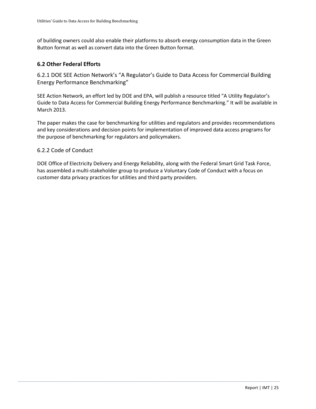of building owners could also enable their platforms to absorb energy consumption data in the Green Button format as well as convert data into the Green Button format.

## <span id="page-25-0"></span>**6.2 Other Federal Efforts**

6.2.1 DOE SEE Action Network's "A Regulator's Guide to Data Access for Commercial Building Energy Performance Benchmarking"

SEE Action Network, an effort led by DOE and EPA, will publish a resource titled "A Utility Regulator's Guide to Data Access for Commercial Building Energy Performance Benchmarking." It will be available in March 2013.

The paper makes the case for benchmarking for utilities and regulators and provides recommendations and key considerations and decision points for implementation of improved data access programs for the purpose of benchmarking for regulators and policymakers.

#### 6.2.2 Code of Conduct

DOE Office of Electricity Delivery and Energy Reliability, along with the Federal Smart Grid Task Force, has assembled a multi-stakeholder group to produce a Voluntary Code of Conduct with a focus on customer data privacy practices for utilities and third party providers.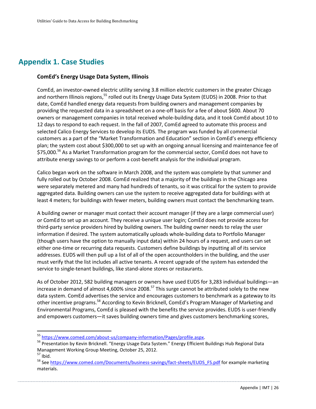# <span id="page-26-0"></span>**Appendix 1. Case Studies**

#### **ComEd's Energy Usage Data System, Illinois**

ComEd, an investor-owned electric utility serving 3.8 million electric customers in the greater Chicago and northern Illinois regions,<sup>55</sup> rolled out its Energy Usage Data System (EUDS) in 2008. Prior to that date, ComEd handled energy data requests from building owners and management companies by providing the requested data in a spreadsheet on a one-off basis for a fee of about \$600. About 70 owners or management companies in total received whole-building data, and it took ComEd about 10 to 12 days to respond to each request. In the fall of 2007, ComEd agreed to automate this process and selected Calico Energy Services to develop its EUDS. The program was funded by all commercial customers as a part of the "Market Transformation and Education" section in ComEd's energy efficiency plan; the system cost about \$300,000 to set up with an ongoing annual licensing and maintenance fee of \$75,000.<sup>56</sup> As a Market Transformation program for the commercial sector, ComEd does not have to attribute energy savings to or perform a cost-benefit analysis for the individual program.

Calico began work on the software in March 2008, and the system was complete by that summer and fully rolled out by October 2008. ComEd realized that a majority of the buildings in the Chicago area were separately metered and many had hundreds of tenants, so it was critical for the system to provide aggregated data. Building owners can use the system to receive aggregated data for buildings with at least 4 meters; for buildings with fewer meters, building owners must contact the benchmarking team.

A building owner or manager must contact their account manager (if they are a large commercial user) or ComEd to set up an account. They receive a unique user login; ComEd does not provide access for third-party service providers hired by building owners. The building owner needs to relay the user information if desired. The system automatically uploads whole-building data to Portfolio Manager (though users have the option to manually input data) within 24 hours of a request, and users can set either one-time or recurring data requests. Customers define buildings by inputting all of its service addresses. EUDS will then pull up a list of all of the open accountholders in the building, and the user must verify that the list includes all active tenants. A recent upgrade of the system has extended the service to single-tenant buildings, like stand-alone stores or restaurants.

As of October 2012, 582 building managers or owners have used EUDS for 3,283 individual buildings—an increase in demand of almost 4,600% since 2008.<sup>57</sup> This surge cannot be attributed solely to the new data system. ComEd advertises the service and encourages customers to benchmark as a gateway to its other incentive programs.<sup>58</sup> According to Kevin Bricknell, ComEd's Program Manager of Marketing and Environmental Programs, ComEd is pleased with the benefits the service provides. EUDS is user-friendly and empowers customers—it saves building owners time and gives customers benchmarking scores,

<sup>&</sup>lt;sup>55</sup> https://www.comed.com/about-us/company-information/Pages/profile.aspx.

<sup>56</sup> Presentation by Kevin Bricknell. "Energy Usage Data System." Energy Efficient Buildings Hub Regional Data Management Working Group Meeting, October 25, 2012.

 $57$  Ibid.

<sup>&</sup>lt;sup>58</sup> Se[e https://www.comed.com/Documents/business-savings/fact-sheets/EUDS\\_FS.pdf](https://www.comed.com/Documents/business-savings/fact-sheets/EUDS_FS.pdf) for example marketing materials.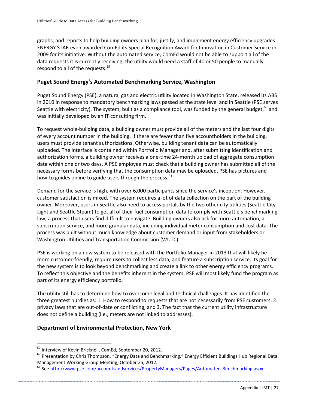graphs, and reports to help building owners plan for, justify, and implement energy efficiency upgrades. ENERGY STAR even awarded ComEd its Special Recognition Award for Innovation in Customer Service in 2009 for its initiative. Without the automated service, ComEd would not be able to support all of the data requests it is currently receiving; the utility would need a staff of 40 or 50 people to manually respond to all of the requests.<sup>59</sup>

## **Puget Sound Energy's Automated Benchmarking Service, Washington**

Puget Sound Energy (PSE), a natural gas and electric utility located in Washington State, released its ABS in 2010 in response to mandatory benchmarking laws passed at the state level and in Seattle (PSE serves Seattle with electricity). The system, built as a compliance tool, was funded by the general budget,<sup>60</sup> and was initially developed by an IT consulting firm.

To request whole-building data, a building owner must provide all of the meters and the last four digits of every account number in the building. If there are fewer than five accountholders in the building, users must provide tenant authorizations. Otherwise, building tenant data can be automatically uploaded. The interface is contained within Portfolio Manager and, after submitting identification and authorization forms, a building owner receives a one-time 24-month upload of aggregate consumption data within one or two days. A PSE employee must check that a building owner has submitted all of the necessary forms before verifying that the consumption data may be uploaded. PSE has pictures and how-to guides online to guide users through the process. $61$ 

Demand for the service is high, with over 6,000 participants since the service's inception. However, customer satisfaction is mixed. The system requires a lot of data collection on the part of the building owner. Moreover, users in Seattle also need to access portals by the two other city utilities (Seattle City Light and Seattle Steam) to get all of their fuel consumption data to comply with Seattle's benchmarking law, a process that users find difficult to navigate. Building owners also ask for more automation, a subscription service, and more granular data, including individual meter consumption and cost data. The process was built without much knowledge about customer demand or input from stakeholders or Washington Utilities and Transportation Commission (WUTC).

PSE is working on a new system to be released with the Portfolio Manager in 2013 that will likely be more customer-friendly, require users to collect less data, and feature a subscription service. Its goal for the new system is to look beyond benchmarking and create a link to other energy efficiency programs. To reflect this objective and the benefits inherent in the system, PSE will most likely fund the program as part of its energy efficiency portfolio.

The utility still has to determine how to overcome legal and technical challenges. It has identified the three greatest hurdles as: 1. How to respond to requests that are not necessarily from PSE customers, 2. privacy laws that are out-of-date or conflicting, and 3. The fact that the current utility infrastructure does not define a building (i.e., meters are not linked to addresses).

## **Department of Environmental Protection, New York**

<sup>&</sup>lt;sup>59</sup> Interview of Kevin Bricknell, ComEd, September 20, 2012.

<sup>&</sup>lt;sup>60</sup> Presentation by Chris Thompson. "Energy Data and Benchmarking." Energy Efficient Buildings Hub Regional Data Management Working Group Meeting, October 25, 2012.

<sup>&</sup>lt;sup>61</sup> See http://www.pse.com/accountsandservices/PropertyManagers/Pages/Automated-Benchmarking.aspx.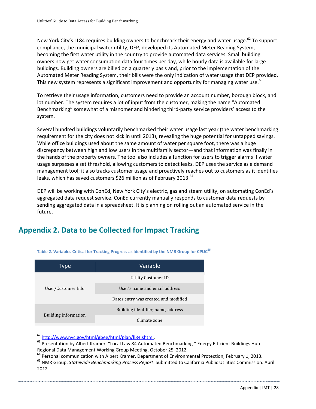New York City's LL84 requires building owners to benchmark their energy and water usage.<sup>62</sup> To support compliance, the municipal water utility, DEP, developed its Automated Meter Reading System, becoming the first water utility in the country to provide automated data services. Small building owners now get water consumption data four times per day, while hourly data is available for large buildings. Building owners are billed on a quarterly basis and, prior to the implementation of the Automated Meter Reading System, their bills were the only indication of water usage that DEP provided. This new system represents a significant improvement and opportunity for managing water use.<sup>63</sup>

To retrieve their usage information, customers need to provide an account number, borough block, and lot number. The system requires a lot of input from the customer, making the name "Automated Benchmarking" somewhat of a misnomer and hindering third-party service providers' access to the system.

Several hundred buildings voluntarily benchmarked their water usage last year (the water benchmarking requirement for the city does not kick in until 2013), revealing the huge potential for untapped savings. While office buildings used about the same amount of water per square foot, there was a huge discrepancy between high and low users in the multifamily sector—and that information was finally in the hands of the property owners. The tool also includes a function for users to trigger alarms if water usage surpasses a set threshold, allowing customers to detect leaks. DEP uses the service as a demand management tool; it also tracks customer usage and proactively reaches out to customers as it identifies leaks, which has saved customers \$26 million as of February 2013.<sup>64</sup>

DEP will be working with ConEd, New York City's electric, gas and steam utility, on automating ConEd's aggregated data request service. ConEd currently manually responds to customer data requests by sending aggregated data in a spreadsheet. It is planning on rolling out an automated service in the future.

# <span id="page-28-0"></span>**Appendix 2. Data to be Collected for Impact Tracking**

| Type                        | Variable                             |
|-----------------------------|--------------------------------------|
| User/Customer Info          | Utility Customer ID                  |
|                             | User's name and email address        |
|                             | Dates entry was created and modified |
| <b>Building Information</b> | Building identifier, name, address   |
|                             | Climate zone                         |

**Table 2. Variables Critical for Tracking Progress as Identified by the NMR Group for CPUC<sup>65</sup>**

 $\overline{a}$ <sup>62</sup> [http://www.nyc.gov/html/gbee/html/plan/ll84.shtml.](http://www.nyc.gov/html/gbee/html/plan/ll84.shtml)

63 Presentation by Albert Kramer. "Local Law 84 Automated Benchmarking." Energy Efficient Buildings Hub Regional Data Management Working Group Meeting, October 25, 2012.

<sup>64</sup> Personal communication with Albert Kramer, Department of Environmental Protection, February 1, 2013.

<sup>65</sup> NMR Group. *Statewide Benchmarking Process Report*. Submitted to California Public Utilities Commission. April 2012.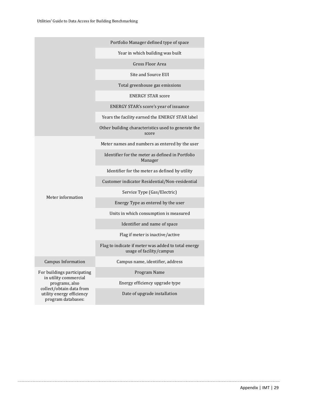|                                                                             | Portfolio Manager defined type of space                                         |  |
|-----------------------------------------------------------------------------|---------------------------------------------------------------------------------|--|
|                                                                             | Year in which building was built                                                |  |
|                                                                             | Gross Floor Area                                                                |  |
|                                                                             | Site and Source EUI                                                             |  |
|                                                                             | Total greenhouse gas emissions                                                  |  |
|                                                                             | <b>ENERGY STAR score</b>                                                        |  |
|                                                                             | ENERGY STAR's score's year of issuance                                          |  |
|                                                                             | Years the facility earned the ENERGY STAR label                                 |  |
|                                                                             | Other building characteristics used to generate the<br>score                    |  |
|                                                                             | Meter names and numbers as entered by the user                                  |  |
|                                                                             | Identifier for the meter as defined in Portfolio<br>Manager                     |  |
|                                                                             | Identifier for the meter as defined by utility                                  |  |
|                                                                             | Customer indicator Residential/Non-residential                                  |  |
|                                                                             | Service Type (Gas/Electric)                                                     |  |
| Meter information                                                           | Energy Type as entered by the user                                              |  |
|                                                                             | Units in which consumption is measured                                          |  |
|                                                                             | Identifier and name of space                                                    |  |
|                                                                             | Flag if meter is inactive/active                                                |  |
|                                                                             | Flag to indicate if meter was added to total energy<br>usage of facility/campus |  |
| Campus Information                                                          | Campus name, identifier, address                                                |  |
| For buildings participating                                                 | Program Name                                                                    |  |
| in utility commercial<br>programs, also                                     | Energy efficiency upgrade type                                                  |  |
| collect/obtain data from<br>utility energy efficiency<br>program databases: | Date of upgrade installation                                                    |  |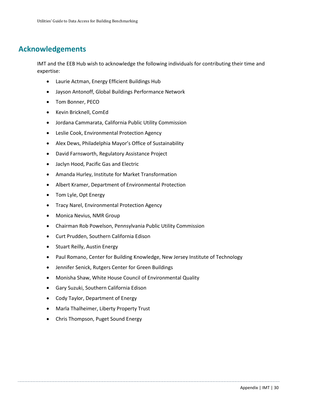# <span id="page-30-0"></span>**Acknowledgements**

IMT and the EEB Hub wish to acknowledge the following individuals for contributing their time and expertise:

- Laurie Actman, Energy Efficient Buildings Hub
- Jayson Antonoff, Global Buildings Performance Network
- Tom Bonner, PECO
- Kevin Bricknell, ComEd
- Jordana Cammarata, California Public Utility Commission
- Leslie Cook, Environmental Protection Agency
- Alex Dews, Philadelphia Mayor's Office of Sustainability
- David Farnsworth, Regulatory Assistance Project
- Jaclyn Hood, Pacific Gas and Electric
- Amanda Hurley, Institute for Market Transformation
- Albert Kramer, Department of Environmental Protection
- Tom Lyle, Opt Energy
- Tracy Narel, Environmental Protection Agency
- Monica Nevius, NMR Group
- Chairman Rob Powelson, Pennsylvania Public Utility Commission
- Curt Prudden, Southern California Edison
- Stuart Reilly, Austin Energy
- Paul Romano, Center for Building Knowledge, New Jersey Institute of Technology
- Jennifer Senick, Rutgers Center for Green Buildings
- Monisha Shaw, White House Council of Environmental Quality
- Gary Suzuki, Southern California Edison
- Cody Taylor, Department of Energy
- Marla Thalheimer, Liberty Property Trust
- Chris Thompson, Puget Sound Energy